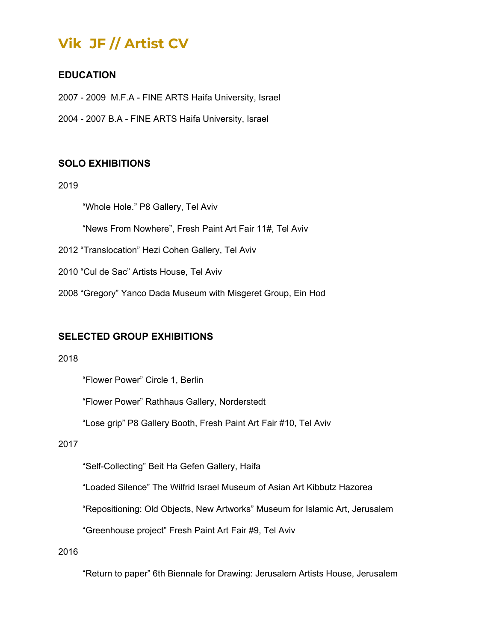# **Vik JF // Artist CV**

## **EDUCATION**

2007 - 2009 M.F.A - FINE ARTS Haifa University, Israel

2004 - 2007 B.A - FINE ARTS Haifa University, Israel

## **SOLO EXHIBITIONS**

2019

"Whole Hole." P8 Gallery, Tel Aviv

"News From Nowhere", Fresh Paint Art Fair 11#, Tel Aviv

2012 "Translocation" Hezi Cohen Gallery, Tel Aviv

2010 "Cul de Sac" Artists House, Tel Aviv

2008 "Gregory" Yanco Dada Museum with Misgeret Group, Ein Hod

## **SELECTED GROUP EXHIBITIONS**

2018

"Flower Power" Circle 1, Berlin

"Flower Power" Rathhaus Gallery, Norderstedt

"Lose grip" P8 Gallery Booth, Fresh Paint Art Fair #10, Tel Aviv

#### 2017

"Self-Collecting" Beit Ha Gefen Gallery, Haifa

"Loaded Silence" The Wilfrid Israel Museum of Asian Art Kibbutz Hazorea

"Repositioning: Old Objects, New Artworks" Museum for Islamic Art, Jerusalem

"Greenhouse project" Fresh Paint Art Fair #9, Tel Aviv

2016

"Return to paper" 6th Biennale for Drawing: Jerusalem Artists House, Jerusalem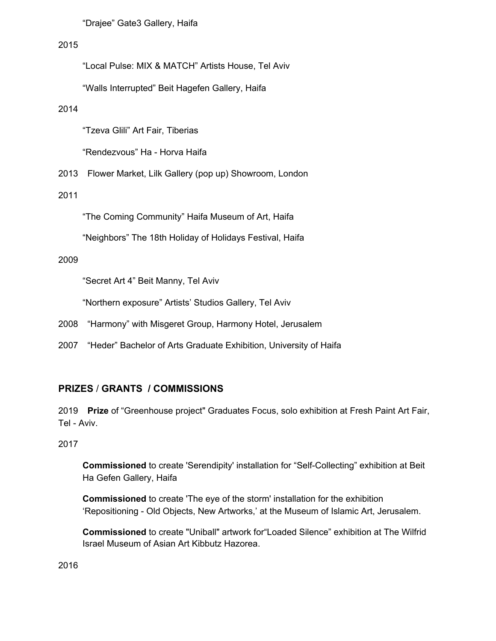"Drajee" Gate3 Gallery, Haifa

#### 2015

"Local Pulse: MIX & MATCH" Artists House, Tel Aviv

"Walls Interrupted" Beit Hagefen Gallery, Haifa

#### 2014

"Tzeva Glili" Art Fair, Tiberias

"Rendezvous" Ha - Horva Haifa

2013 Flower Market, Lilk Gallery (pop up) Showroom, London

#### 2011

"The Coming Community" Haifa Museum of Art, Haifa

"Neighbors" The 18th Holiday of Holidays Festival, Haifa

#### 2009

"Secret Art 4" Beit Manny, Tel Aviv

"Northern exposure" Artists' Studios Gallery, Tel Aviv

- 2008 "Harmony" with Misgeret Group, Harmony Hotel, Jerusalem
- 2007 "Heder" Bachelor of Arts Graduate Exhibition, University of Haifa

## **PRIZES** / **GRANTS / COMMISSIONS**

2019 **Prize** of "Greenhouse project" Graduates Focus, solo exhibition at Fresh Paint Art Fair, Tel - Aviv.

## 2017

**Commissioned** to create 'Serendipity' installation for "Self-Collecting" exhibition at Beit Ha Gefen Gallery, Haifa

**Commissioned** to create 'The eye of the storm' installation for the exhibition 'Repositioning - Old Objects, New Artworks,' at the Museum of Islamic Art, Jerusalem.

**Commissioned** to create "Uniball" artwork for"Loaded Silence" exhibition at The Wilfrid Israel Museum of Asian Art Kibbutz Hazorea.

2016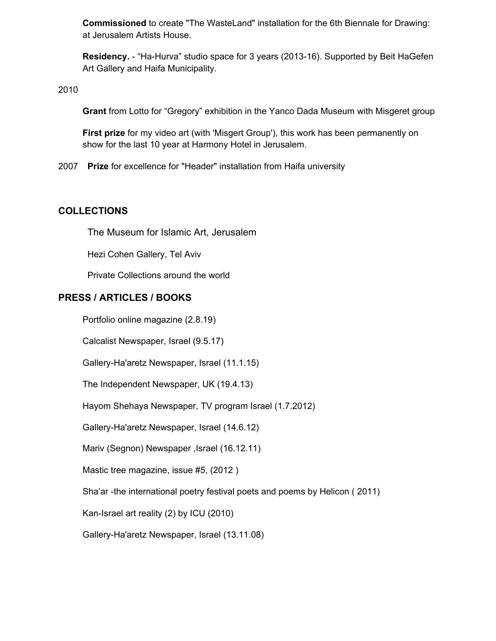**Commissioned** to create "The WasteLand" installation for the 6th Biennale for Drawing: at Jerusalem Artists House.

**Residency.** - "Ha-Hurva" studio space for 3 years (2013-16). Supported by Beit HaGefen Art Gallery and Haifa Municipality.

2010

**Grant** from Lotto for "Gregory" exhibition in the Yanco Dada Museum with Misgeret group

**First prize** for my video art (with 'Misgert Group'), this work has been permanently on show for the last 10 year at Harmony Hotel in Jerusalem.

2007 **Prize** for excellence for "Header" installation from Haifa university

#### **COLLECTIONS**

The Museum for Islamic Art, Jerusalem

Hezi Cohen Gallery, Tel Aviv

Private Collections around the world

## **PRESS / ARTICLES / BOOKS**

Portfolio online magazine (2.8.19)

Calcalist Newspaper, Israel (9.5.17)

Gallery-Ha'aretz Newspaper, Israel (11.1.15)

The Independent Newspaper, UK (19.4.13)

Hayom Shehaya Newspaper, TV program Israel (1.7.2012)

Gallery-Ha'aretz Newspaper, Israel (14.6.12)

Mariv (Segnon) Newspaper, Israel (16.12.11)

Mastic tree magazine, issue #5, (2012 )

Sha'ar -the international poetry festival poets and poems by Helicon ( 2011)

Kan-Israel art reality (2) by ICU (2010)

Gallery-Ha'aretz Newspaper, Israel (13.11.08)